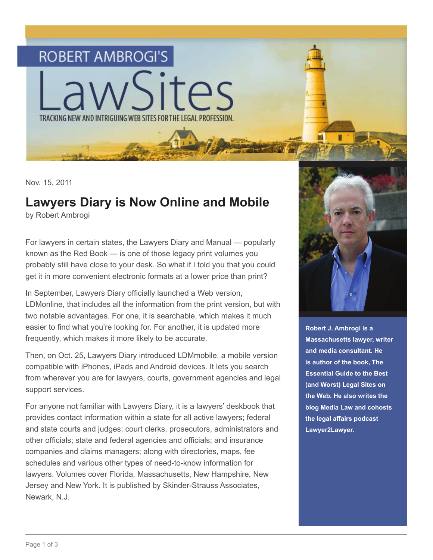

Nov. 15, 2011

## **Lawyers Diary is Now Online and Mobile**

by Robert Ambrogi

For lawyers in certain states, the Lawyers Diary and Manual — popularly known as the Red Book — is one of those legacy print volumes you probably still have close to your desk. So what if I told you that you could get it in more convenient electronic formats at a lower price than print?

In September, Lawyers Diary officially launched a Web version, LDMonline, that includes all the information from the print version, but with two notable advantages. For one, it is searchable, which makes it much easier to find what you're looking for. For another, it is updated more frequently, which makes it more likely to be accurate.

Then, on Oct. 25, Lawyers Diary introduced LDMmobile, a mobile version compatible with iPhones, iPads and Android devices. It lets you search from wherever you are for lawyers, courts, government agencies and legal support services.

For anyone not familiar with Lawyers Diary, it is a lawyers' deskbook that provides contact information within a state for all active lawyers; federal and state courts and judges; court clerks, prosecutors, administrators and other officials; state and federal agencies and officials; and insurance companies and claims managers; along with directories, maps, fee schedules and various other types of need-to-know information for lawyers. Volumes cover Florida, Massachusetts, New Hampshire, New Jersey and New York. It is published by Skinder-Strauss Associates, Newark, N.J.



**Robert J. Ambrogi is a Massachusetts lawyer, writer and media consultant. He is author of the book, The Essential Guide to the Best (and Worst) Legal Sites on the Web. He also writes the blog Media Law and cohosts the legal affairs podcast Lawyer2Lawyer.**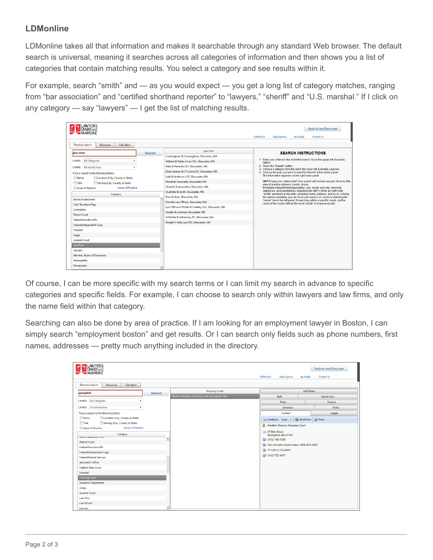## **LDMonline**

LDMonline takes all that information and makes it searchable through any standard Web browser. The default search is universal, meaning it searches across all categories of information and then shows you a list of categories that contain matching results. You select a category and see results within it.

For example, search "smith" and — as you would expect — you get a long list of category matches, ranging from "bar association" and "certified shorthand reporter" to "lawyers," "sheriff" and "U.S. marshal." If I click on any category — say "lawyers" — I get the list of matching results.

|                                                                                                                                                             |               |                                                      | <b>Subscriptions</b><br><b>LDMonline</b><br><b>Contact Us</b><br><b>My Profile</b>                                                                   |  |  |  |
|-------------------------------------------------------------------------------------------------------------------------------------------------------------|---------------|------------------------------------------------------|------------------------------------------------------------------------------------------------------------------------------------------------------|--|--|--|
| <b>Directory Search</b><br><b>Resources</b><br>Calculator                                                                                                   |               |                                                      |                                                                                                                                                      |  |  |  |
| gloucester                                                                                                                                                  | <b>Search</b> | Law Firm<br>Cunningham & Cunningham, Gloucester, MA  | <b>SEARCH INSTRUCTIONS</b>                                                                                                                           |  |  |  |
| <b>All Categories</b><br>Limit to                                                                                                                           |               | William M Keiley Jr Law Ofc, Gloucester, MA          | 1. Enter your criteria in the red-tinted search box in the upper left. Example,                                                                      |  |  |  |
| All Jurisdictions<br>Limit to                                                                                                                               |               | Kiely & Ferrante, LLC, Gloucester, MA                | <b>SMITH</b><br>2. Press the "Search" button.                                                                                                        |  |  |  |
|                                                                                                                                                             |               | Kline Gardner & O'Connor, PC, Gloucester, MA         | 3. Choose a category from the list in the lower left. Example, Lawyers.<br>4. Choose the entry you wish to view from the list in the center panel.   |  |  |  |
| Focus search to the following fields :<br><b>Name</b><br>Location (City, County or State)                                                                   |               | Latti & Anderson LLP, Gloucester, MA                 | The information appears on the right hand panel.                                                                                                     |  |  |  |
| Title<br>Serving (City, County or State)                                                                                                                    |               | Murdock Associates, Gloucester, MA                   | HINTS Keep your criteria brief. Your search will include any part of name, title.                                                                    |  |  |  |
| Areas of Practice<br>Areas of Practice                                                                                                                      |               | Orlando & Associates, Gloucester, MA                 | area of practice address, county, phone.<br>firm/agency/department/organization, size, email, web site, personal,                                    |  |  |  |
|                                                                                                                                                             |               | Ouellette & Smith, Gloucester, MA                    | categories, and jurisdictions. Searching for SMITH finds any entry with                                                                              |  |  |  |
| Category<br><b>Board of Selectmen</b><br>Cert. Shorthand Rep.<br>Constables<br><b>District Court</b><br>Federal Executive Ofc.<br>Federal Independent Corp. |               | Pino & Shea, Gloucester, MA                          | "Smith" anywhere in the entry, including name, address, and so on. Among<br>the options available, you can focus your search on name by checking the |  |  |  |
|                                                                                                                                                             |               | Porcello Law Offices, Gloucester, MA                 | "Name" box in the left panel, if searching within a specific county, put the<br>name of the county without the word "county" to improve results.     |  |  |  |
|                                                                                                                                                             |               | Law Offices of Porter & Coakley, LLC, Gloucester, MA |                                                                                                                                                      |  |  |  |
|                                                                                                                                                             |               | Sandler & Laramee, Gloucester, MA                    |                                                                                                                                                      |  |  |  |
|                                                                                                                                                             |               | Schlichte & Johnstone, PC, Gloucester, MA            |                                                                                                                                                      |  |  |  |
|                                                                                                                                                             |               | Dwight A Ware Law Ofc, Gloucester, MA                |                                                                                                                                                      |  |  |  |
|                                                                                                                                                             |               |                                                      |                                                                                                                                                      |  |  |  |
| Hospital                                                                                                                                                    |               |                                                      |                                                                                                                                                      |  |  |  |
| Judge                                                                                                                                                       |               |                                                      |                                                                                                                                                      |  |  |  |
| Juvenile Court                                                                                                                                              |               |                                                      |                                                                                                                                                      |  |  |  |
| Law Firm                                                                                                                                                    |               |                                                      |                                                                                                                                                      |  |  |  |
| Lawyers                                                                                                                                                     |               |                                                      |                                                                                                                                                      |  |  |  |
| Member, Board of Selectmen                                                                                                                                  |               |                                                      |                                                                                                                                                      |  |  |  |
| Municipality                                                                                                                                                |               |                                                      |                                                                                                                                                      |  |  |  |

Of course, I can be more specific with my search terms or I can limit my search in advance to specific categories and specific fields. For example, I can choose to search only within lawyers and law firms, and only the name field within that category.

Searching can also be done by area of practice. If I am looking for an employment lawyer in Boston, I can simply search "employment boston" and get results. Or I can search only fields such as phone numbers, first names, addresses — pretty much anything included in the directory.

| <b>DIARY</b> and                                                                                                                                                                             |               |                                                  | <b>LDMonline</b><br><b>Subscriptions</b>                                                                                                              | <b>Back to LawDiary.com</b><br><b>Contact Us</b><br><b>My Profile</b> |  |  |
|----------------------------------------------------------------------------------------------------------------------------------------------------------------------------------------------|---------------|--------------------------------------------------|-------------------------------------------------------------------------------------------------------------------------------------------------------|-----------------------------------------------------------------------|--|--|
| <b>Directory Search</b><br><b>Calculator</b><br><b>Resources</b>                                                                                                                             |               |                                                  |                                                                                                                                                       |                                                                       |  |  |
| springfield                                                                                                                                                                                  | <b>Search</b> | <b>Housing Court</b>                             | Add Notes                                                                                                                                             |                                                                       |  |  |
|                                                                                                                                                                                              |               | Western Division, Housing Court, Springfield, MA | Staff                                                                                                                                                 | Jurisdiction.                                                         |  |  |
| Limit to All Categories                                                                                                                                                                      |               |                                                  | <b>Rules</b>                                                                                                                                          | <b>Topical</b>                                                        |  |  |
| Limit to All Jurisdictions                                                                                                                                                                   |               |                                                  | Schedule                                                                                                                                              | <b>Notes</b>                                                          |  |  |
| Focus search to the following fields :                                                                                                                                                       |               |                                                  | Contact                                                                                                                                               | Judges                                                                |  |  |
| Name<br>Location (City, County or State)                                                                                                                                                     |               |                                                  | Fig. Feedback Copy v & BookMark A Print                                                                                                               |                                                                       |  |  |
| Title<br>Serving (City, County or State)<br>Areas of Practice<br>Areas of Practice                                                                                                           |               |                                                  | Western Division, Housing Court                                                                                                                       |                                                                       |  |  |
| Category<br><b>DISTRICT ARTOTTIEY'S OTC.</b><br><b>District Court</b><br>Federal Executive Ofc.<br>Federal Independent Corp.<br><b>Federal Pretrial Services</b><br><b>Governor's Office</b> |               |                                                  | 12 37 Elm Street<br>Springfield, MA 01103<br>(413) 748-7838<br>Toll- free within western Mass. (866) 474-2687<br>TTY (413) 735-6070<br>(413) 732-4607 |                                                                       |  |  |
| <b>Highest State Court</b>                                                                                                                                                                   |               |                                                  |                                                                                                                                                       |                                                                       |  |  |
| Hospital                                                                                                                                                                                     |               |                                                  |                                                                                                                                                       |                                                                       |  |  |
| <b>Housing Court</b><br><b>Insurance Department</b>                                                                                                                                          |               |                                                  |                                                                                                                                                       |                                                                       |  |  |
| Judge                                                                                                                                                                                        |               |                                                  |                                                                                                                                                       |                                                                       |  |  |
| Juvenile Court                                                                                                                                                                               |               |                                                  |                                                                                                                                                       |                                                                       |  |  |
| Law Firm                                                                                                                                                                                     |               |                                                  |                                                                                                                                                       |                                                                       |  |  |
| <b>Law School</b>                                                                                                                                                                            |               |                                                  |                                                                                                                                                       |                                                                       |  |  |
| Lawyers                                                                                                                                                                                      |               |                                                  |                                                                                                                                                       |                                                                       |  |  |